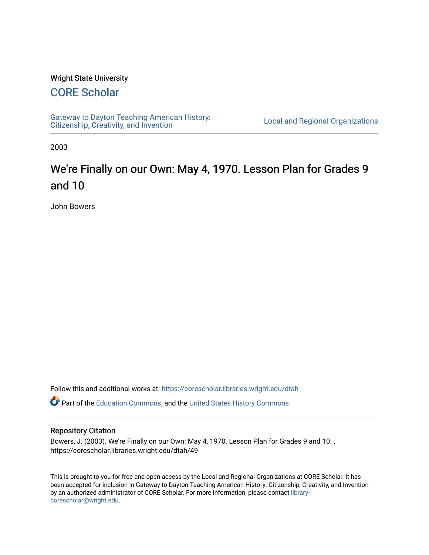#### Wright State University

## [CORE Scholar](https://corescholar.libraries.wright.edu/)

[Gateway to Dayton Teaching American History:](https://corescholar.libraries.wright.edu/dtah)  Gateway to Dayton Teaching American History.<br>[Citizenship, Creativity, and Invention](https://corescholar.libraries.wright.edu/dtah) Listory Local and Regional Organizations

2003

# We're Finally on our Own: May 4, 1970. Lesson Plan for Grades 9 and 10

John Bowers

Follow this and additional works at: [https://corescholar.libraries.wright.edu/dtah](https://corescholar.libraries.wright.edu/dtah?utm_source=corescholar.libraries.wright.edu%2Fdtah%2F49&utm_medium=PDF&utm_campaign=PDFCoverPages)

**C** Part of the [Education Commons](http://network.bepress.com/hgg/discipline/784?utm_source=corescholar.libraries.wright.edu%2Fdtah%2F49&utm_medium=PDF&utm_campaign=PDFCoverPages), and the United States History Commons

#### Repository Citation

Bowers, J. (2003). We're Finally on our Own: May 4, 1970. Lesson Plan for Grades 9 and 10. . https://corescholar.libraries.wright.edu/dtah/49

This is brought to you for free and open access by the Local and Regional Organizations at CORE Scholar. It has been accepted for inclusion in Gateway to Dayton Teaching American History: Citizenship, Creativity, and Invention by an authorized administrator of CORE Scholar. For more information, please contact [library](mailto:library-corescholar@wright.edu)[corescholar@wright.edu](mailto:library-corescholar@wright.edu).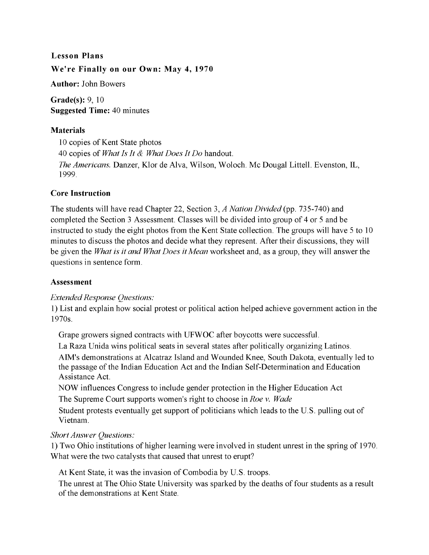## **Lesson Plans We're Finally on our Own: May 4, 1970**

**Author:** John Bowers

**Grade(s):** 9, 10 **Suggested Time:** 40 minutes

#### **Materials**

10 copies of Kent State photos 40 copies of *What Is It* & *What Does It Do* handout. *The Americans.* Danzer, Klor de Alva, Wilson, Woloch. Mc Dougal Littell. Evenston, IL, 1999.

#### **Core Instruction**

The students will have read Chapter 22, Section 3, *A Nation Divided* (pp. 735-740) and completed the Section 3 Assessment. Classes will be divided into group of 4 or 5 and be instructed to study the eight photos from the Kent State collection. The groups will have 5 to 10 minutes to discuss the photos and decide what they represent. After their discussions, they will be given the *What is it and What Does it Mean* worksheet and, as a group, they will answer the questions in sentence form.

#### **Assessment**

#### *Extended Response Questions:*

**1)** List and explain how social protest or political action helped achieve government action in the 1970s.

Grape growers signed contracts with UFWOC after boycotts were successful.

La Raza Unida wins political seats in several states after politically organizing Latinos. AIM's demonstrations at Alcatraz Island and Wounded Knee, South Dakota, eventually led to the passage of the Indian Education Act and the Indian Self-Determination and Education Assistance Act.

NOW influences Congress to include gender protection in the Higher Education Act The Supreme Court supports women's right to choose in *Roe* v. *Wade* 

Student protests eventually get support of politicians which leads to the U.S. pulling out of Vietnam.

### *Short Answer Questions:*

**1)** Two Ohio institutions of higher learning were involved in student unrest in the spring of 1970. What were the two catalysts that caused that unrest to erupt?

At Kent State, it was the invasion of Combodia by U.S. troops.

The unrest at The Ohio State University was sparked by the deaths of four students as a result of the demonstrations at Kent State.